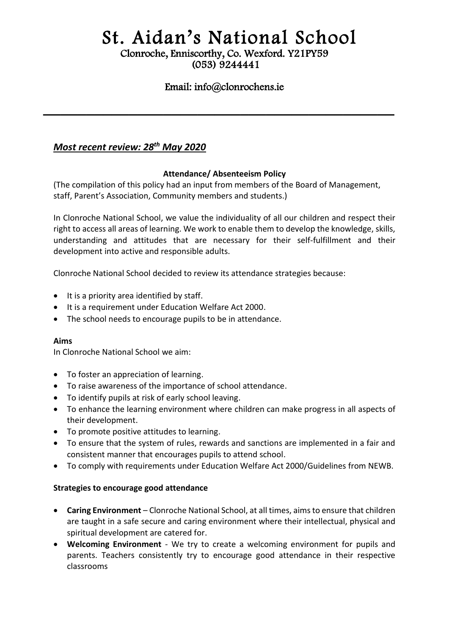# St. Aidan's National School

#### Clonroche, Enniscorthy, Co. Wexford. Y21PY59 (053) 9244441

## Email: info@clonrochens.ie

**\_\_\_\_\_\_\_\_\_\_\_\_\_\_\_\_\_\_\_\_\_\_\_\_\_\_\_\_\_\_\_\_\_\_\_\_\_\_\_\_\_**

# *Most recent review: 28th May 2020*

#### **Attendance/ Absenteeism Policy**

(The compilation of this policy had an input from members of the Board of Management, staff, Parent's Association, Community members and students.)

In Clonroche National School, we value the individuality of all our children and respect their right to access all areas of learning. We work to enable them to develop the knowledge, skills, understanding and attitudes that are necessary for their self-fulfillment and their development into active and responsible adults.

Clonroche National School decided to review its attendance strategies because:

- $\bullet$  It is a priority area identified by staff.
- It is a requirement under Education Welfare Act 2000.
- The school needs to encourage pupils to be in attendance.

#### **Aims**

In Clonroche National School we aim:

- To foster an appreciation of learning.
- To raise awareness of the importance of school attendance.
- To identify pupils at risk of early school leaving.
- To enhance the learning environment where children can make progress in all aspects of their development.
- To promote positive attitudes to learning.
- To ensure that the system of rules, rewards and sanctions are implemented in a fair and consistent manner that encourages pupils to attend school.
- To comply with requirements under Education Welfare Act 2000/Guidelines from NEWB.

#### **Strategies to encourage good attendance**

- **Caring Environment** Clonroche National School, at all times, aims to ensure that children are taught in a safe secure and caring environment where their intellectual, physical and spiritual development are catered for.
- **Welcoming Environment** We try to create a welcoming environment for pupils and parents. Teachers consistently try to encourage good attendance in their respective classrooms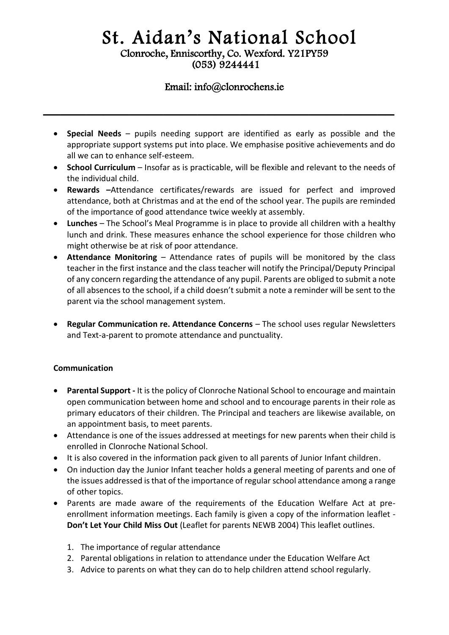# St. Aidan's National School Clonroche, Enniscorthy, Co. Wexford. Y21PY59 (053) 9244441

### Email: info@clonrochens.ie

**\_\_\_\_\_\_\_\_\_\_\_\_\_\_\_\_\_\_\_\_\_\_\_\_\_\_\_\_\_\_\_\_\_\_\_\_\_\_\_\_\_**

- **Special Needs** pupils needing support are identified as early as possible and the appropriate support systems put into place. We emphasise positive achievements and do all we can to enhance self-esteem.
- **School Curriculum**  Insofar as is practicable, will be flexible and relevant to the needs of the individual child.
- **Rewards –**Attendance certificates/rewards are issued for perfect and improved attendance, both at Christmas and at the end of the school year. The pupils are reminded of the importance of good attendance twice weekly at assembly.
- **Lunches** The School's Meal Programme is in place to provide all children with a healthy lunch and drink. These measures enhance the school experience for those children who might otherwise be at risk of poor attendance.
- **Attendance Monitoring** Attendance rates of pupils will be monitored by the class teacher in the first instance and the class teacher will notify the Principal/Deputy Principal of any concern regarding the attendance of any pupil. Parents are obliged to submit a note of all absences to the school, if a child doesn't submit a note a reminder will be sent to the parent via the school management system.
- **Regular Communication re. Attendance Concerns** The school uses regular Newsletters and Text-a-parent to promote attendance and punctuality.

#### **Communication**

- **Parental Support -** It is the policy of Clonroche National School to encourage and maintain open communication between home and school and to encourage parents in their role as primary educators of their children. The Principal and teachers are likewise available, on an appointment basis, to meet parents.
- Attendance is one of the issues addressed at meetings for new parents when their child is enrolled in Clonroche National School.
- It is also covered in the information pack given to all parents of Junior Infant children.
- On induction day the Junior Infant teacher holds a general meeting of parents and one of the issues addressed is that of the importance of regular school attendance among a range of other topics.
- Parents are made aware of the requirements of the Education Welfare Act at preenrollment information meetings. Each family is given a copy of the information leaflet - **Don't Let Your Child Miss Out** (Leaflet for parents NEWB 2004) This leaflet outlines.
	- 1. The importance of regular attendance
	- 2. Parental obligations in relation to attendance under the Education Welfare Act
	- 3. Advice to parents on what they can do to help children attend school regularly.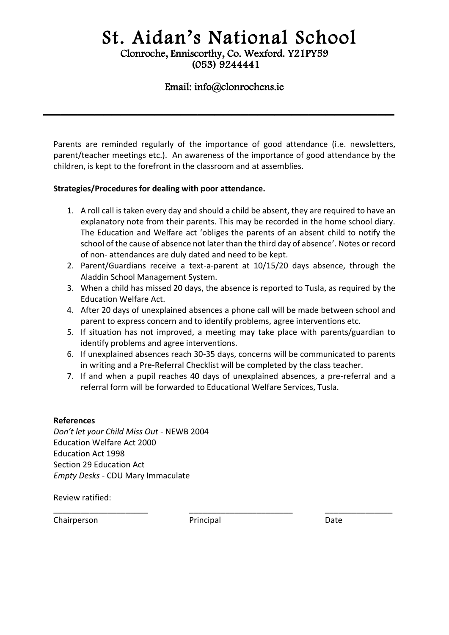# St. Aidan's National School Clonroche, Enniscorthy, Co. Wexford. Y21PY59

(053) 9244441

## Email: info@clonrochens.ie

**\_\_\_\_\_\_\_\_\_\_\_\_\_\_\_\_\_\_\_\_\_\_\_\_\_\_\_\_\_\_\_\_\_\_\_\_\_\_\_\_\_**

Parents are reminded regularly of the importance of good attendance (i.e. newsletters, parent/teacher meetings etc.). An awareness of the importance of good attendance by the children, is kept to the forefront in the classroom and at assemblies.

#### **Strategies/Procedures for dealing with poor attendance.**

- 1. A roll call is taken every day and should a child be absent, they are required to have an explanatory note from their parents. This may be recorded in the home school diary. The Education and Welfare act 'obliges the parents of an absent child to notify the school of the cause of absence not later than the third day of absence'. Notes or record of non- attendances are duly dated and need to be kept.
- 2. Parent/Guardians receive a text-a-parent at 10/15/20 days absence, through the Aladdin School Management System.
- 3. When a child has missed 20 days, the absence is reported to Tusla, as required by the Education Welfare Act.
- 4. After 20 days of unexplained absences a phone call will be made between school and parent to express concern and to identify problems, agree interventions etc.
- 5. If situation has not improved, a meeting may take place with parents/guardian to identify problems and agree interventions.
- 6. If unexplained absences reach 30-35 days, concerns will be communicated to parents in writing and a Pre-Referral Checklist will be completed by the class teacher.
- 7. If and when a pupil reaches 40 days of unexplained absences, a pre-referral and a referral form will be forwarded to Educational Welfare Services, Tusla.

#### **References**

*Don't let your Child Miss Out* - NEWB 2004 Education Welfare Act 2000 Education Act 1998 Section 29 Education Act *Empty Desks* - CDU Mary Immaculate

Review ratified:

Chairperson Principal Date

\_\_\_\_\_\_\_\_\_\_\_\_\_\_\_\_\_\_\_\_\_ \_\_\_\_\_\_\_\_\_\_\_\_\_\_\_\_\_\_\_\_\_\_\_ \_\_\_\_\_\_\_\_\_\_\_\_\_\_\_